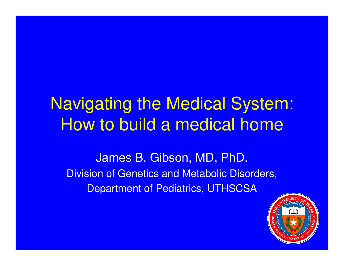## Navigating the Medical System: How to build a medical home

James B. Gibson, MD, PhD. Division of Genetics and Metabolic Disorders, Department of Pediatrics, UTHSCSA

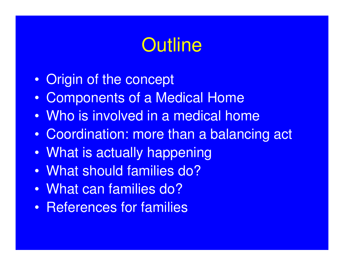# **Outline**

- Origin of the concept
- Components of a Medical Home
- Who is involved in a medical home
- Coordination: more than a balancing act
- What is actually happening
- What should families do?
- What can families do?
- References for families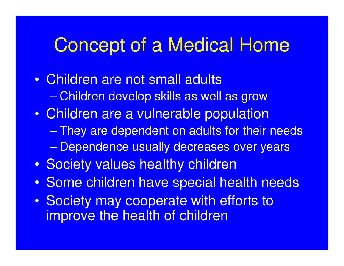## Concept of a Medical Home

- Children are not small adults – Children develop skills as well as grow • Children are a vulnerable population – They are dependent on adults for their needs – Dependence usually decreases over years
- Society values healthy children
- Some children have special health needs
- Society may cooperate with efforts to improve the health of children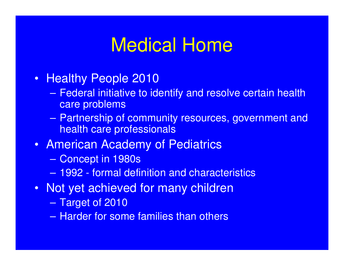## Medical Home

- Healthy People 2010
	- Federal initiative to identify and resolve certain health care problems
	- Partnership of community resources, government and health care professionals
- American Academy of Pediatrics
	- Concept in 1980s
	- 1992 formal definition and characteristics
- Not yet achieved for many children
	- Target of 2010
	- Harder for some families than others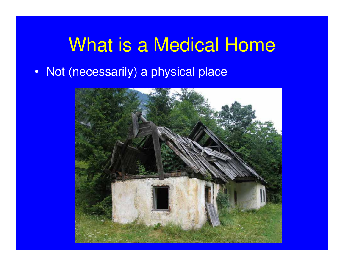## What is a Medical Home

• Not (necessarily) a physical place

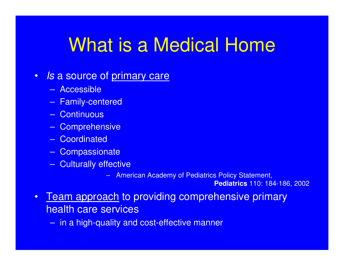# What is a Medical Home

#### • Is a source of primary care

- Accessible
- Family-centered
- Continuous
- Comprehensive
- Coordinated
- Compassionate
- Culturally effective
	- American Academy of Pediatrics Policy Statement,

**Pediatrics** 110: 184-186, 2002

- Team approach to providing comprehensive primary health care services
	- in a high-quality and cost-effective manner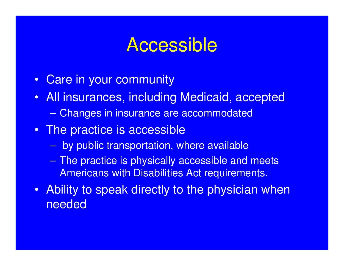### **Accessible**

- Care in your community
- All insurances, including Medicaid, accepted – Changes in insurance are accommodated
- The practice is accessible
	- by public transportation, where available
	- The practice is physically accessible and meets Americans with Disabilities Act requirements.
- Ability to speak directly to the physician when needed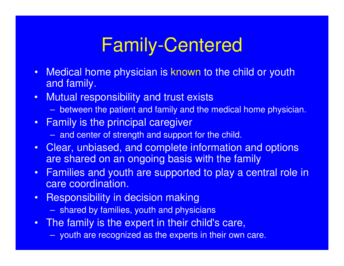# Family-Centered

- Medical home physician is known to the child or youth and family.
- Mutual responsibility and trust exists
	- between the patient and family and the medical home physician.
- Family is the principal caregiver
	- and center of strength and support for the child.
- Clear, unbiased, and complete information and options are shared on an ongoing basis with the family
- Families and youth are supported to play a central role in care coordination.
- Responsibility in decision making
	- shared by families, youth and physicians
- The family is the expert in their child's care,
	- youth are recognized as the experts in their own care.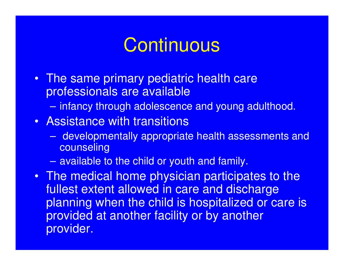## **Continuous**

- The same primary pediatric health care professionals are available
	- infancy through adolescence and young adulthood.

#### • Assistance with transitions

- developmentally appropriate health assessments and **counseling**
- available to the child or youth and family.
- The medical home physician participates to the fullest extent allowed in care and discharge planning when the child is hospitalized or care is provided at another facility or by another provider.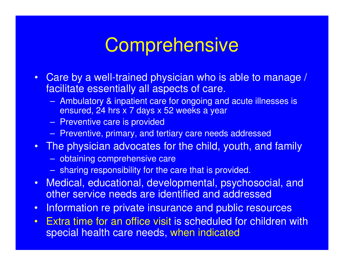# **Comprehensive**

- Care by a well-trained physician who is able to manage / facilitate essentially all aspects of care.
	- Ambulatory & inpatient care for ongoing and acute illnesses is ensured, 24 hrs x 7 days x 52 weeks a year
	- Preventive care is provided
	- Preventive, primary, and tertiary care needs addressed
- The physician advocates for the child, youth, and family
	- obtaining comprehensive care
	- sharing responsibility for the care that is provided.
- Medical, educational, developmental, psychosocial, and other service needs are identified and addressed
- Information re private insurance and public resources
- Extra time for an office visit is scheduled for children with special health care needs, when indicated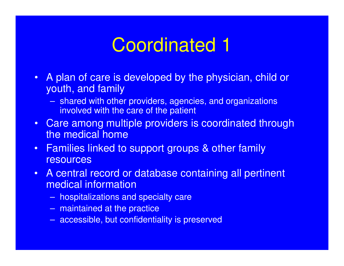# Coordinated 1

- A plan of care is developed by the physician, child or youth, and family
	- shared with other providers, agencies, and organizations involved with the care of the patient
- Care among multiple providers is coordinated through the medical home
- Families linked to support groups & other family resources
- A central record or database containing all pertinent medical information
	- hospitalizations and specialty care
	- maintained at the practice
	- accessible, but confidentiality is preserved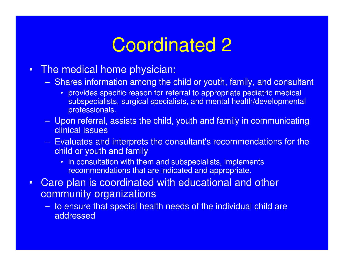## Coordinated 2

- The medical home physician:
	- Shares information among the child or youth, family, and consultant
		- provides specific reason for referral to appropriate pediatric medical subspecialists, surgical specialists, and mental health/developmental professionals.
	- Upon referral, assists the child, youth and family in communicating clinical issues
	- Evaluates and interprets the consultant's recommendations for the child or youth and family
		- in consultation with them and subspecialists, implements recommendations that are indicated and appropriate.
- Care plan is coordinated with educational and other community organizations
	- to ensure that special health needs of the individual child are addressed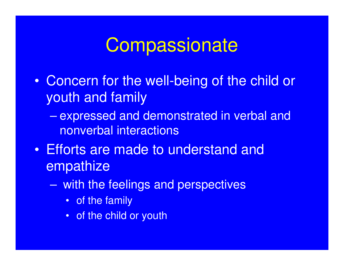## **Compassionate**

- Concern for the well-being of the child or youth and family
	- expressed and demonstrated in verbal and nonverbal interactions
- Efforts are made to understand and empathize
	- with the feelings and perspectives
		- of the family
		- of the child or youth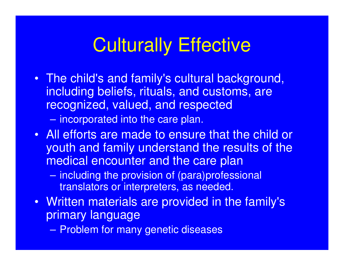# Culturally Effective

• The child's and family's cultural background, including beliefs, rituals, and customs, are recognized, valued, and respected

– incorporated into the care plan.

- All efforts are made to ensure that the child or youth and family understand the results of the medical encounter and the care plan
	- including the provision of (para)professional translators or interpreters, as needed.
- Written materials are provided in the family's primary language
	- Problem for many genetic diseases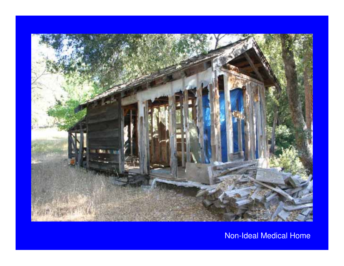

Non-Ideal Medical Home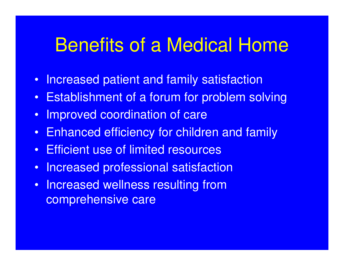## Benefits of a Medical Home

- Increased patient and family satisfaction
- Establishment of a forum for problem solving
- Improved coordination of care
- Enhanced efficiency for children and family
- Efficient use of limited resources
- Increased professional satisfaction
- Increased wellness resulting from comprehensive care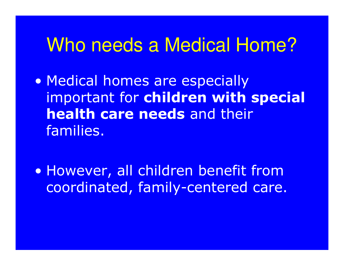### Who needs a Medical Home?

• Medical homes are especially important for children with special health care needs and their families.

· However, all children benefit from coordinated, family-centered care.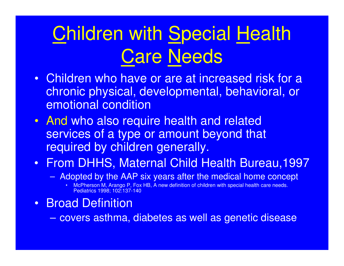# Children with Special Health Care Needs

- Children who have or are at increased risk for a chronic physical, developmental, behavioral, or emotional condition
- And who also require health and related services of a type or amount beyond that required by children generally.
- From DHHS, Maternal Child Health Bureau,1997
	- Adopted by the AAP six years after the medical home concept
		- McPherson M, Arango P, Fox HB, A new definition of children with special health care needs. Pediatrics 1998; 102:137-140
- Broad Definition
	- covers asthma, diabetes as well as genetic disease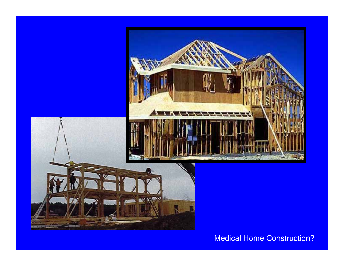

Medical Home Construction?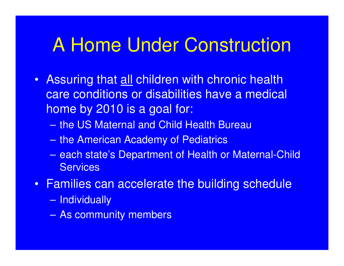## A Home Under Construction

- Assuring that all children with chronic health care conditions or disabilities have a medical home by 2010 is a goal for:
	- the US Maternal and Child Health Bureau
	- the American Academy of Pediatrics
	- each state's Department of Health or Maternal-Child **Services**
- Families can accelerate the building schedule
	- Individually
	- As community members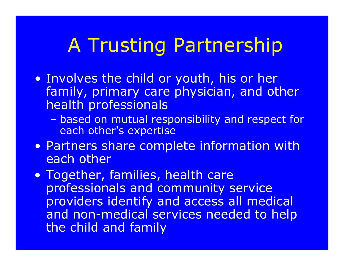# A Trusting Partnership

- . Involves the child or youth, his or her family, primary care physician, and other health professionals
	- based on mutual responsibility and respect for each other's expertise
- Partners share complete information with each other
- Together, families, health care professionals and community service providers identify and access all medical and non-medical services needed to help the child and family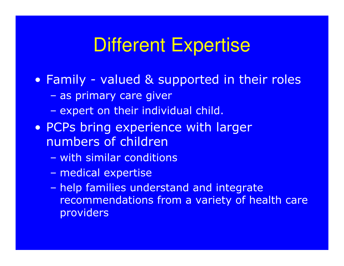## **Different Expertise**

- Family valued & supported in their roles
	- as primary care giver
	- expert on their individual child.
- PCPs bring experience with larger numbers of children
	- with similar conditions
	- medical expertise
	- help families understand and integrate recommendations from a variety of health care providers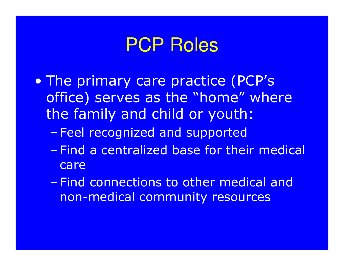## **PCP Roles**

- The primary care practice (PCP's office) serves as the "home" where the family and child or youth:
	- Feel recognized and supported
	- Find a centralized base for their medical care
	- Find connections to other medical and non-medical community resources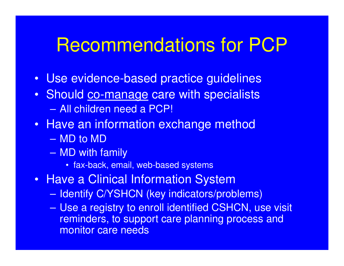## Recommendations for PCP

- Use evidence-based practice guidelines
- Should co-manage care with specialists – All children need a PCP!
- Have an information exchange method
	- MD to MD
	- MD with family
		- fax-back, email, web-based systems
- Have a Clinical Information System
	- Identify C/YSHCN (key indicators/problems)
	- Use a registry to enroll identified CSHCN, use visit reminders, to support care planning process and monitor care needs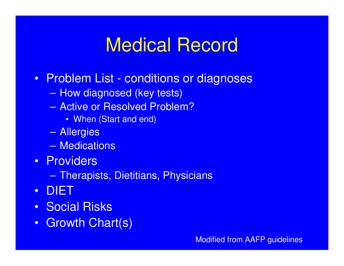# Medical Record

- Problem List conditions or diagnoses
	- How diagnosed (key tests)
	- Active or Resolved Problem?
		- When (Start and end)
	- Allergies
	- Medications
- Providers
	- Therapists, Dietitians, Physicians
- DIET
- Social Risks
- Growth Chart(s)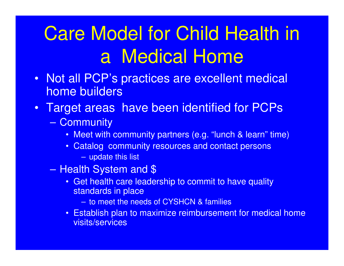# Care Model for Child Health in a Medical Home

- Not all PCP's practices are excellent medical home builders
- Target areas have been identified for PCPs
	- Community
		- Meet with community partners (e.g. "lunch & learn" time)
		- Catalog community resources and contact persons
			- update this list
	- Health System and \$
		- Get health care leadership to commit to have quality standards in place
			- to meet the needs of CYSHCN & families
		- Establish plan to maximize reimbursement for medical home visits/services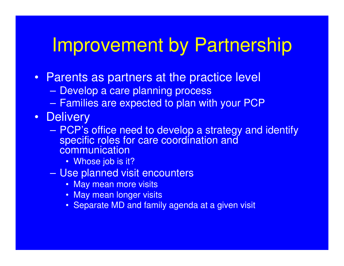# Improvement by Partnership

- Parents as partners at the practice level
	- Develop a care planning process
	- Families are expected to plan with your PCP
- Delivery
	- PCP's office need to develop a strategy and identify specific roles for care coordination and **communication** 
		- Whose job is it?
	- Use planned visit encounters
		- May mean more visits
		- May mean longer visits
		- Separate MD and family agenda at a given visit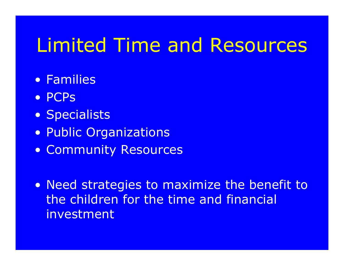# Limited Time and Resources

- Families
- PCPs
- Specialists
- Public Organizations
- Community Resources
- Need strategies to maximize the benefit to the children for the time and financial investment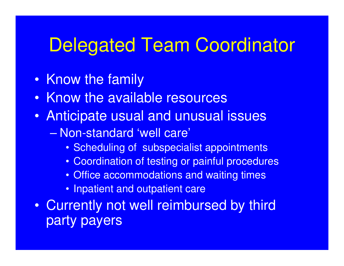## Delegated Team Coordinator

- Know the family
- Know the available resources
- Anticipate usual and unusual issues
	- Non-standard 'well care'
		- Scheduling of subspecialist appointments
		- Coordination of testing or painful procedures
		- Office accommodations and waiting times
		- Inpatient and outpatient care
- Currently not well reimbursed by third party payers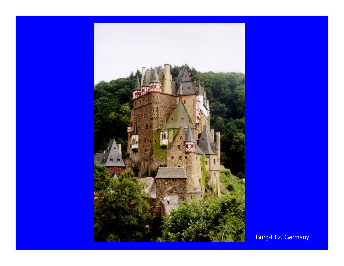

Burg-Eltz, Germany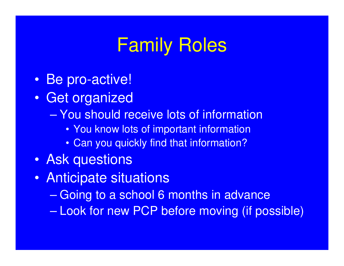# Family Roles

- Be pro-active!
- Get organized
	- You should receive lots of information
		- You know lots of important information
		- Can you quickly find that information?
- Ask questions
- Anticipate situations
	- Going to a school 6 months in advance
	- Look for new PCP before moving (if possible)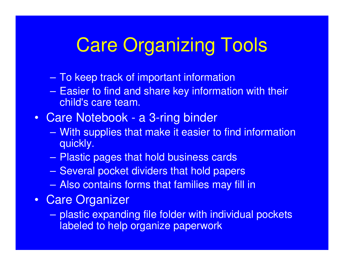# **Care Organizing Tools**

- To keep track of important information
- Easier to find and share key information with their child's care team.
- Care Notebook a 3-ring binder
	- With supplies that make it easier to find information quickly.
	- Plastic pages that hold business cards
	- Several pocket dividers that hold papers
	- Also contains forms that families may fill in
- Care Organizer
	- plastic expanding file folder with individual pockets labeled to help organize paperwork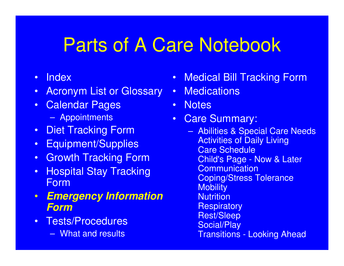## Parts of A Care Notebook

- Index
- Acronym List or Glossary
- Calendar Pages
	- Appointments
- Diet Tracking Form
- Equipment/Supplies
- Growth Tracking Form
- Hospital Stay Tracking Form
- *Emergency Information Form*
- Tests/Procedures
	- What and results
- Medical Bill Tracking Form
- Medications
- Notes
- Care Summary:
	- Abilities & Special Care Needs Activities of Daily Living Care Schedule Child's Page - Now & Later **Communication** Coping/Stress Tolerance **Mobility Nutrition Respiratory** Rest/Sleep Social/Play Transitions - Looking Ahead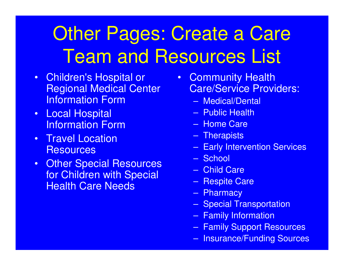# Other Pages: Create a Care Team and Resources List

- Children's Hospital or Regional Medical Center Information Form
- Local Hospital Information Form
- Travel Location **Resources**
- Other Special Resources for Children with Special Health Care Needs
- Community Health Care/Service Providers:
	- Medical/Dental
	- Public Health
	- Home Care
	- Therapists
	- Early Intervention Services
	- School
	- Child Care
	- Respite Care
	- Pharmacy
	- Special Transportation
	- Family Information
	- Family Support Resources
	- Insurance/Funding Sources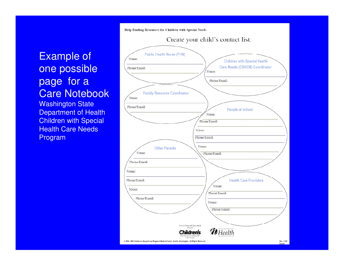#### Example of one possible page for a Care Notebook

**Washington State** Department of Health Children with Special Health Care Needs Program

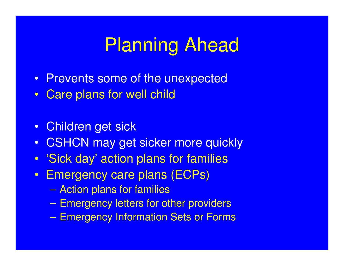## Planning Ahead

- Prevents some of the unexpected
- Care plans for well child
- Children get sick
- CSHCN may get sicker more quickly
- 'Sick day' action plans for families
- Emergency care plans (ECPs)
	- Action plans for families
	- Emergency letters for other providers
	- Emergency Information Sets or Forms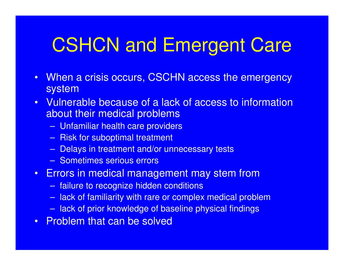# CSHCN and Emergent Care

- When a crisis occurs, CSCHN access the emergency system
- Vulnerable because of a lack of access to information about their medical problems
	- Unfamiliar health care providers
	- Risk for suboptimal treatment
	- Delays in treatment and/or unnecessary tests
	- Sometimes serious errors
- Errors in medical management may stem from
	- failure to recognize hidden conditions
	- lack of familiarity with rare or complex medical problem
	- lack of prior knowledge of baseline physical findings
- Problem that can be solved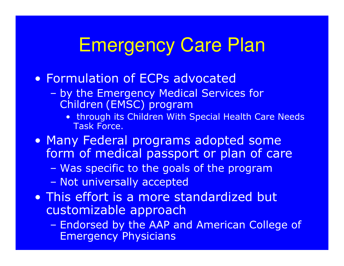# **Emergency Care Plan**

#### • Formulation of ECPs advocated

- by the Emergency Medical Services for Children (EMSC) program
	- . through its Children With Special Health Care Needs **Task Force.**
- Many Federal programs adopted some form of medical passport or plan of care
	- Was specific to the goals of the program
	- Not universally accepted
- This effort is a more standardized but customizable approach
	- Endorsed by the AAP and American College of **Emergency Physicians**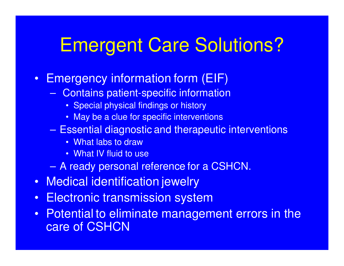## Emergent Care Solutions?

- Emergency information form (EIF)
	- Contains patient-specific information
		- Special physical findings or history
		- May be a clue for specific interventions
	- Essential diagnostic and therapeutic interventions
		- What labs to draw
		- What IV fluid to use
	- A ready personal reference for a CSHCN.
- Medical identification jewelry
- Electronic transmission system
- Potential to eliminate management errors in the care of CSHCN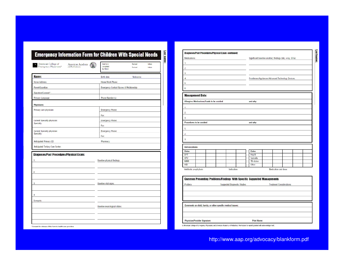| American College of<br><b>American Academy</b><br>Emergency Physicians*<br>of Pediatrics | Date form<br>completed<br>By Whom  | <b>Revised</b><br>Revised               | Initials<br>Initials |  |  |
|------------------------------------------------------------------------------------------|------------------------------------|-----------------------------------------|----------------------|--|--|
| Name:                                                                                    | Birth date:                        | Nickname:                               |                      |  |  |
| Home Address:                                                                            | Home/Work Phone:                   |                                         |                      |  |  |
| Parent/Guardian:                                                                         |                                    | Emergency Contact Names & Relationship: |                      |  |  |
| Signature/Consent*:                                                                      |                                    |                                         |                      |  |  |
| Primary Language:                                                                        | Phone Number(s):                   |                                         |                      |  |  |
| Physicians:                                                                              |                                    |                                         |                      |  |  |
| Primary care physician:                                                                  | <b>Emergency Phone:</b>            |                                         |                      |  |  |
|                                                                                          | Fax                                |                                         |                      |  |  |
| <b>Current Specialty physician:</b><br>Specialty:                                        | <b>Emergency Phone:</b>            |                                         |                      |  |  |
|                                                                                          | Fax                                |                                         |                      |  |  |
| Current Specialty physician:                                                             | <b>Emergency Phone:</b>            |                                         |                      |  |  |
| Specialty:                                                                               | Fax:                               |                                         |                      |  |  |
| Anticipated Primary ED:                                                                  | Pharmacy:                          |                                         |                      |  |  |
|                                                                                          |                                    |                                         |                      |  |  |
| Anticipated Tertiary Care Center:                                                        |                                    |                                         |                      |  |  |
| <b>Diagnoses/Past Procedures/Physical Exam:</b><br>1.                                    | <b>Baseline physical findings:</b> |                                         |                      |  |  |
| 2.<br>3.                                                                                 | Baseline vital signs:              |                                         |                      |  |  |

| Medications:                                                                   |                                                    | Significant baseline ancillary findings (lab, x-ray, ECG): |                      |  |  |  |
|--------------------------------------------------------------------------------|----------------------------------------------------|------------------------------------------------------------|----------------------|--|--|--|
| 1.                                                                             |                                                    |                                                            |                      |  |  |  |
| $\overline{2}$                                                                 |                                                    |                                                            |                      |  |  |  |
| 3.                                                                             |                                                    |                                                            |                      |  |  |  |
| 4.                                                                             | Prostheses/Appliances/Advanced Technology Devices: |                                                            |                      |  |  |  |
| 5.                                                                             |                                                    |                                                            |                      |  |  |  |
| 6.                                                                             |                                                    |                                                            |                      |  |  |  |
| <b>Management Data:</b>                                                        |                                                    |                                                            |                      |  |  |  |
|                                                                                |                                                    |                                                            |                      |  |  |  |
| Allergies: Medications/Foods to be avoided                                     |                                                    | and why:                                                   |                      |  |  |  |
| 1.                                                                             |                                                    |                                                            |                      |  |  |  |
| 2.                                                                             |                                                    |                                                            |                      |  |  |  |
| 3.                                                                             |                                                    |                                                            |                      |  |  |  |
| Procedures to be avoided                                                       | and why:                                           |                                                            |                      |  |  |  |
| 1.                                                                             |                                                    |                                                            |                      |  |  |  |
| 2.                                                                             |                                                    |                                                            |                      |  |  |  |
| 3.                                                                             |                                                    |                                                            |                      |  |  |  |
|                                                                                |                                                    |                                                            |                      |  |  |  |
| <b>Immunizations</b>                                                           |                                                    |                                                            |                      |  |  |  |
| <b>Dates</b>                                                                   | <b>Dates</b>                                       |                                                            |                      |  |  |  |
| DPT                                                                            | Hep B                                              |                                                            |                      |  |  |  |
| 0PV<br>MMR                                                                     | Varicella<br><b>TB</b> status                      |                                                            |                      |  |  |  |
| <b>HIB</b>                                                                     | Other                                              |                                                            |                      |  |  |  |
| Antibiotic prophylaxis:<br>Indication:                                         |                                                    |                                                            | Medication and dose: |  |  |  |
|                                                                                |                                                    |                                                            |                      |  |  |  |
|                                                                                |                                                    |                                                            |                      |  |  |  |
| <b>Common Presenting Problems/Findings With Specific Suggested Managements</b> |                                                    |                                                            |                      |  |  |  |

Comments on child, family, or other specific medical issues: **Print Name:** Physician/Provider Signature: C American College of Emergency Physicians and American Academy of Pediatrics. Permission to reprint granted with acknowledgement.

http://www.aap.org/advocacy/blankform.pdf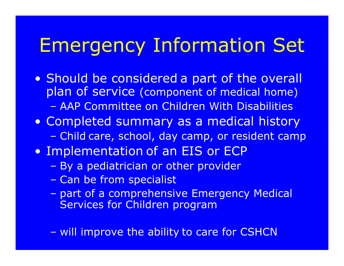# **Emergency Information Set**

- . Should be considered a part of the overall plan of service (component of medical home) - AAP Committee on Children With Disabilities
- Completed summary as a medical history - Child care, school, day camp, or resident camp
- Implementation of an EIS or ECP
	- By a pediatrician or other provider
	- Can be from specialist
	- part of a comprehensive Emergency Medical Services for Children program
	- will improve the ability to care for CSHCN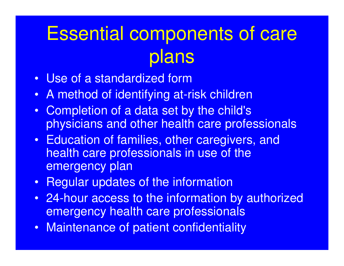# Essential components of care plans

- Use of a standardized form
- A method of identifying at-risk children
- Completion of a data set by the child's physicians and other health care professionals
- Education of families, other caregivers, and health care professionals in use of the emergency plan
- Regular updates of the information
- 24-hour access to the information by authorized emergency health care professionals
- Maintenance of patient confidentiality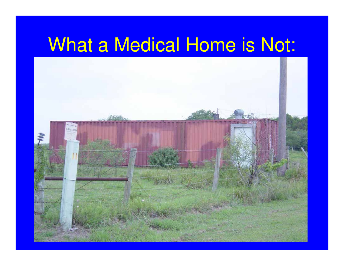# What a Medical Home is Not:

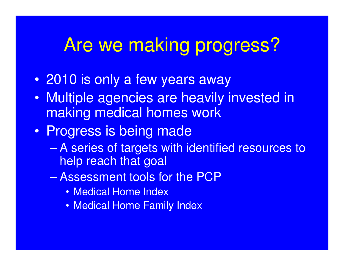## Are we making progress?

- 2010 is only a few years away
- Multiple agencies are heavily invested in making medical homes work
- Progress is being made
	- A series of targets with identified resources to help reach that goal
	- Assessment tools for the PCP
		- Medical Home Index
		- Medical Home Family Index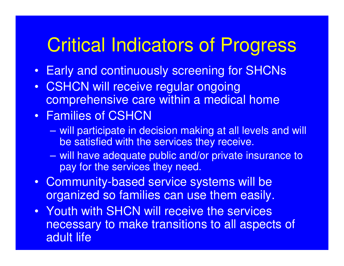# Critical Indicators of Progress

- Early and continuously screening for SHCNs
- CSHCN will receive regular ongoing comprehensive care within a medical home

### • Families of CSHCN

- will participate in decision making at all levels and will be satisfied with the services they receive.
- will have adequate public and/or private insurance to pay for the services they need.
- Community-based service systems will be organized so families can use them easily.
- Youth with SHCN will receive the services necessary to make transitions to all aspects of adult life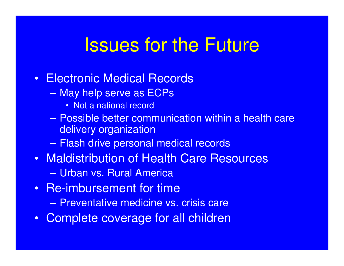## Issues for the Future

- Electronic Medical Records
	- May help serve as ECPs
		- Not a national record
	- Possible better communication within a health care delivery organization
	- Flash drive personal medical records
- Maldistribution of Health Care Resources
	- Urban vs. Rural America
- Re-imbursement for time
	- Preventative medicine vs. crisis care
- Complete coverage for all children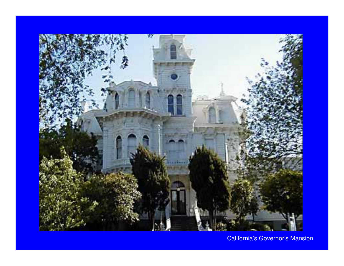

California's Governor's Mansion